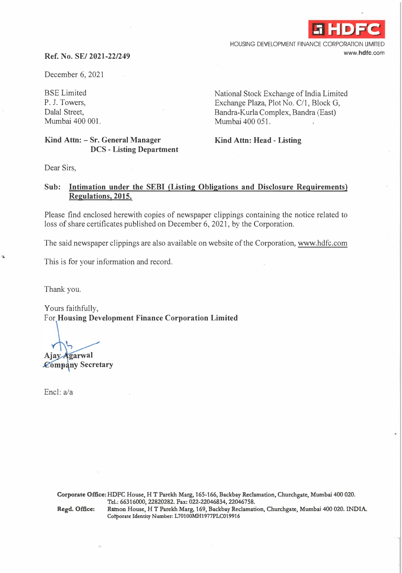

HOUSING DEVELOPMENT FINANCE CORPORATION LIMITED **www.hdfc.com** 

## **Ref. No. SE/ 2021-22/249**

December 6, 2021

BSE Limited P. J. Towers, Dalal Street, Mumbai 400 001.

**Kind Attn: - Sr. General Manager DCS - Listing Department**  National Stock Exchange of India Limited Exchange Plaza, Plot No. C/1, Block G, Bandra-Kurla Complex, Bandra (East) Mumbai 400 051.

**Kind Attn: Head - Listing** 

Dear Sirs,

## **Sub: Intimation under the SEBI (Listing Obligations and Disclosure Requirements) Regulations, 2015.**

Please find enclosed herewith copies of newspaper clippings containing the notice related to loss of share certificates published on December 6, 2021, by the Corporation.

The said newspaper clippings are also available on website of the Corporation, www.hdfc.com

This is for your information and record.

Thank you.

 $\Delta$ 

Yours faithfully, For **Housing Development Finance Corporation Limited** 

**Ajay Agarwal** 

**Company Secretary** 

Encl: a/a

**Corporate Office: HDFC House, HT Parekh Marg, 165-166, Backbay Reclamation, Churchgate, Mumbai 400 020. Tel.:66316000,22820282.Fax:022-22046834,22046758.** 

**Regd. Office: Ramon House, HT Parekh Marg, 169, Backbay Reclamation, Churchgate, Mumbai 400 020. INDIA.**  Cotporate Identity Number: L70100MH1977PLC019916